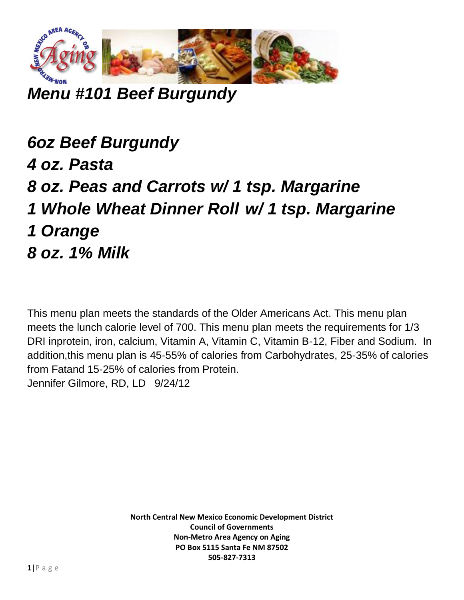

*Menu #101 Beef Burgundy*

*6oz Beef Burgundy 4 oz. Pasta 8 oz. Peas and Carrots w/ 1 tsp. Margarine 1 Whole Wheat Dinner Roll w/ 1 tsp. Margarine 1 Orange 8 oz. 1% Milk*

This menu plan meets the standards of the Older Americans Act. This menu plan meets the lunch calorie level of 700. This menu plan meets the requirements for 1/3 DRI inprotein, iron, calcium, Vitamin A, Vitamin C, Vitamin B-12, Fiber and Sodium. In addition,this menu plan is 45-55% of calories from Carbohydrates, 25-35% of calories from Fatand 15-25% of calories from Protein. Jennifer Gilmore, RD, LD 9/24/12

> **North Central New Mexico Economic Development District Council of Governments Non-Metro Area Agency on Aging PO Box 5115 Santa Fe NM 87502 505-827-7313**